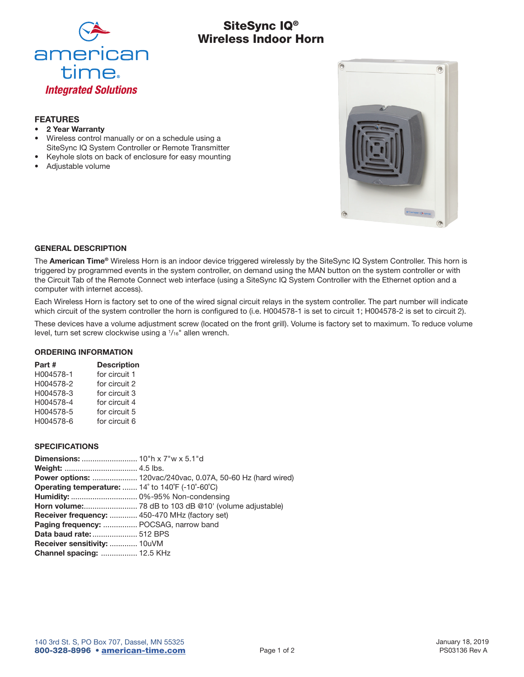

# SiteSync IQ® Wireless Indoor Horn

## FEATURES

- 2 Year Warranty
- Wireless control manually or on a schedule using a SiteSync IQ System Controller or Remote Transmitter
- Keyhole slots on back of enclosure for easy mounting
- Adjustable volume



#### GENERAL DESCRIPTION

The American Time® Wireless Horn is an indoor device triggered wirelessly by the SiteSync IQ System Controller. This horn is triggered by programmed events in the system controller, on demand using the MAN button on the system controller or with the Circuit Tab of the Remote Connect web interface (using a SiteSync IQ System Controller with the Ethernet option and a computer with internet access).

Each Wireless Horn is factory set to one of the wired signal circuit relays in the system controller. The part number will indicate which circuit of the system controller the horn is configured to (i.e. H004578-1 is set to circuit 1; H004578-2 is set to circuit 2).

These devices have a volume adjustment screw (located on the front grill). Volume is factory set to maximum. To reduce volume level, turn set screw clockwise using a  $1/16$ " allen wrench.

## ORDERING INFORMATION

| Part #    | <b>Description</b> |
|-----------|--------------------|
| H004578-1 | for circuit 1      |
| H004578-2 | for circuit 2      |
| H004578-3 | for circuit 3      |
| H004578-4 | for circuit 4      |
| H004578-5 | for circuit 5      |
| H004578-6 | for circuit 6      |

### SPECIFICATIONS

|                                                                                                 | <b>Power options:</b> 120vac/240vac, 0.07A, 50-60 Hz (hard wired) |
|-------------------------------------------------------------------------------------------------|-------------------------------------------------------------------|
| <b>Operating temperature:</b> $14^{\circ}$ to $140^{\circ}$ F (-10 $^{\circ}$ -60 $^{\circ}$ C) |                                                                   |
|                                                                                                 |                                                                   |
|                                                                                                 |                                                                   |
| <b>Receiver frequency:  450-470 MHz (factory set)</b>                                           |                                                                   |
| <b>Paging frequency:  POCSAG, narrow band</b>                                                   |                                                                   |
| <b>Data baud rate:  512 BPS</b>                                                                 |                                                                   |
| Receiver sensitivity:  10uVM                                                                    |                                                                   |
| <b>Channel spacing:  12.5 KHz</b>                                                               |                                                                   |